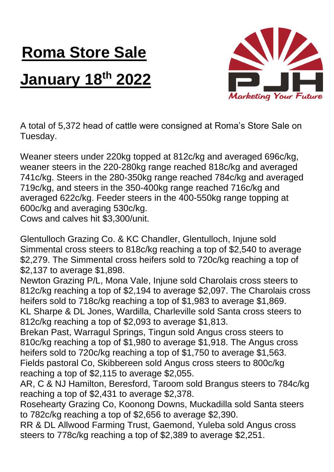## **Roma Store Sale January 18 th 2022**



A total of 5,372 head of cattle were consigned at Roma's Store Sale on Tuesday.

Weaner steers under 220kg topped at 812c/kg and averaged 696c/kg, weaner steers in the 220-280kg range reached 818c/kg and averaged 741c/kg. Steers in the 280-350kg range reached 784c/kg and averaged 719c/kg, and steers in the 350-400kg range reached 716c/kg and averaged 622c/kg. Feeder steers in the 400-550kg range topping at 600c/kg and averaging 530c/kg. Cows and calves hit \$3,300/unit.

Glentulloch Grazing Co. & KC Chandler, Glentulloch, Injune sold Simmental cross steers to 818c/kg reaching a top of \$2,540 to average \$2,279. The Simmental cross heifers sold to 720c/kg reaching a top of \$2,137 to average \$1,898.

Newton Grazing P/L, Mona Vale, Injune sold Charolais cross steers to 812c/kg reaching a top of \$2,194 to average \$2,097. The Charolais cross heifers sold to 718c/kg reaching a top of \$1,983 to average \$1,869. KL Sharpe & DL Jones, Wardilla, Charleville sold Santa cross steers to 812c/kg reaching a top of \$2,093 to average \$1,813.

Brekan Past, Warragul Springs, Tingun sold Angus cross steers to 810c/kg reaching a top of \$1,980 to average \$1,918. The Angus cross heifers sold to 720c/kg reaching a top of \$1,750 to average \$1,563. Fields pastoral Co, Skibbereen sold Angus cross steers to 800c/kg reaching a top of \$2,115 to average \$2,055.

AR, C & NJ Hamilton, Beresford, Taroom sold Brangus steers to 784c/kg reaching a top of \$2,431 to average \$2,378.

Rosehearty Grazing Co, Koonong Downs, Muckadilla sold Santa steers to 782c/kg reaching a top of \$2,656 to average \$2,390.

RR & DL Allwood Farming Trust, Gaemond, Yuleba sold Angus cross steers to 778c/kg reaching a top of \$2,389 to average \$2,251.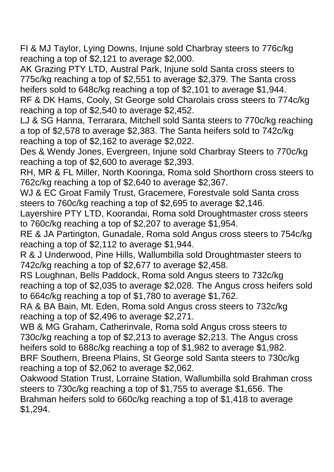FI & MJ Taylor, Lying Downs, Injune sold Charbray steers to 776c/kg reaching a top of \$2,121 to average \$2,000.

AK Grazing PTY LTD, Austral Park, Injune sold Santa cross steers to 775c/kg reaching a top of \$2,551 to average \$2,379. The Santa cross heifers sold to 648c/kg reaching a top of \$2,101 to average \$1,944. RF & DK Hams, Cooly, St George sold Charolais cross steers to 774c/kg

reaching a top of \$2,540 to average \$2,452. LJ & SG Hanna, Terrarara, Mitchell sold Santa steers to 770c/kg reaching

a top of \$2,578 to average \$2,383. The Santa heifers sold to 742c/kg reaching a top of \$2,162 to average \$2,022.

Des & Wendy Jones, Evergreen, Injune sold Charbray Steers to 770c/kg reaching a top of \$2,600 to average \$2,393.

RH, MR & FL Miller, North Kooringa, Roma sold Shorthorn cross steers to 762c/kg reaching a top of \$2,640 to average \$2,367.

WJ & EC Groat Family Trust, Gracemere, Forestvale sold Santa cross steers to 760c/kg reaching a top of \$2,695 to average \$2,146.

Layershire PTY LTD, Koorandai, Roma sold Droughtmaster cross steers to 760c/kg reaching a top of \$2,207 to average \$1,954.

RE & JA Partington, Gunadale, Roma sold Angus cross steers to 754c/kg reaching a top of \$2,112 to average \$1,944.

R & J Underwood, Pine Hills, Wallumbilla sold Droughtmaster steers to 742c/kg reaching a top of \$2,677 to average \$2,458.

RS Loughnan, Bells Paddock, Roma sold Angus steers to 732c/kg reaching a top of \$2,035 to average \$2,028. The Angus cross heifers sold to 664c/kg reaching a top of \$1,780 to average \$1,762.

RA & BA Bain, Mt. Eden, Roma sold Angus cross steers to 732c/kg reaching a top of \$2,496 to average \$2,271.

WB & MG Graham, Catherinvale, Roma sold Angus cross steers to 730c/kg reaching a top of \$2,213 to average \$2,213. The Angus cross heifers sold to 688c/kg reaching a top of \$1,982 to average \$1,982. BRF Southern, Breena Plains, St George sold Santa steers to 730c/kg reaching a top of \$2,062 to average \$2,062.

Oakwood Station Trust, Lorraine Station, Wallumbilla sold Brahman cross steers to 730c/kg reaching a top of \$1,755 to average \$1,656. The Brahman heifers sold to 660c/kg reaching a top of \$1,418 to average \$1,294.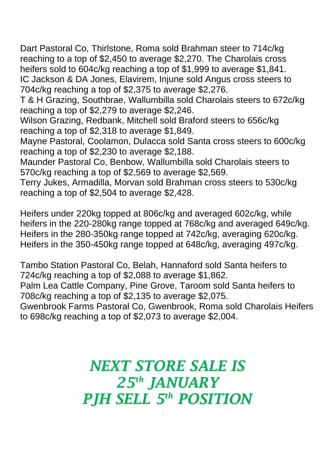Dart Pastoral Co, Thirlstone, Roma sold Brahman steer to 714c/kg reaching to a top of \$2,450 to average \$2,270. The Charolais cross heifers sold to 604c/kg reaching a top of \$1,999 to average \$1,841. IC Jackson & DA Jones, Elavirem, Injune sold Angus cross steers to 704c/kg reaching a top of \$2,375 to average \$2,276.

T & H Grazing, Southbrae, Wallumbilla sold Charolais steers to 672c/kg reaching a top of \$2,279 to average \$2,246.

Wilson Grazing, Redbank, Mitchell sold Braford steers to 656c/kg reaching a top of \$2,318 to average \$1,849.

Mayne Pastoral, Coolamon, Dulacca sold Santa cross steers to 600c/kg reaching a top of \$2,230 to average \$2,188.

Maunder Pastoral Co, Benbow, Wallumbilla sold Charolais steers to 570c/kg reaching a top of \$2,569 to average \$2,569.

Terry Jukes, Armadilla, Morvan sold Brahman cross steers to 530c/kg reaching a top of \$2,504 to average \$2,428.

Heifers under 220kg topped at 806c/kg and averaged 602c/kg, while heifers in the 220-280kg range topped at 768c/kg and averaged 649c/kg. Heifers in the 280-350kg range topped at 742c/kg, averaging 620c/kg. Heifers in the 350-450kg range topped at 648c/kg, averaging 497c/kg.

Tambo Station Pastoral Co, Belah, Hannaford sold Santa heifers to 724c/kg reaching a top of \$2,088 to average \$1,862.

Palm Lea Cattle Company, Pine Grove, Taroom sold Santa heifers to 708c/kg reaching a top of \$2,135 to average \$2,075.

Gwenbrook Farms Pastoral Co, Gwenbrook, Roma sold Charolais Heifers to 698c/kg reaching a top of \$2,073 to average \$2,004.

## *NEXT STORE SALE IS 25th JANUARY PJH SELL 5 th POSITION*